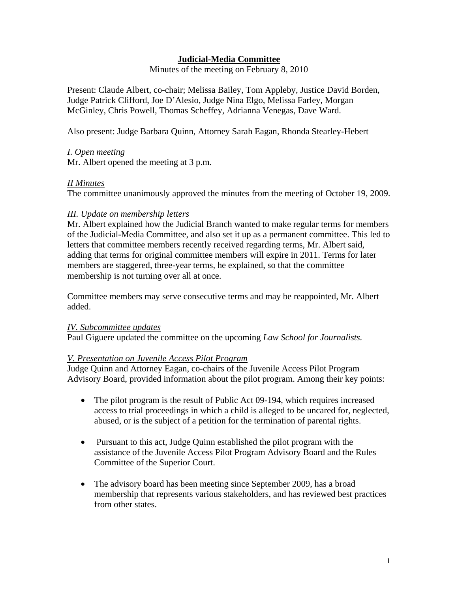# **Judicial-Media Committee**

Minutes of the meeting on February 8, 2010

Present: Claude Albert, co-chair; Melissa Bailey, Tom Appleby, Justice David Borden, Judge Patrick Clifford, Joe D'Alesio, Judge Nina Elgo, Melissa Farley, Morgan McGinley, Chris Powell, Thomas Scheffey, Adrianna Venegas, Dave Ward.

Also present: Judge Barbara Quinn, Attorney Sarah Eagan, Rhonda Stearley-Hebert

*I. Open meeting* 

Mr. Albert opened the meeting at 3 p.m.

## *II Minutes*

The committee unanimously approved the minutes from the meeting of October 19, 2009.

### *III. Update on membership letters*

Mr. Albert explained how the Judicial Branch wanted to make regular terms for members of the Judicial-Media Committee, and also set it up as a permanent committee. This led to letters that committee members recently received regarding terms, Mr. Albert said, adding that terms for original committee members will expire in 2011. Terms for later members are staggered, three-year terms, he explained, so that the committee membership is not turning over all at once.

Committee members may serve consecutive terms and may be reappointed, Mr. Albert added.

## *IV. Subcommittee updates*

Paul Giguere updated the committee on the upcoming *Law School for Journalists.* 

## *V. Presentation on Juvenile Access Pilot Program*

Judge Quinn and Attorney Eagan, co-chairs of the Juvenile Access Pilot Program Advisory Board, provided information about the pilot program. Among their key points:

- The pilot program is the result of Public Act 09-194, which requires increased access to trial proceedings in which a child is alleged to be uncared for, neglected, abused, or is the subject of a petition for the termination of parental rights.
- Pursuant to this act, Judge Quinn established the pilot program with the assistance of the Juvenile Access Pilot Program Advisory Board and the Rules Committee of the Superior Court.
- The advisory board has been meeting since September 2009, has a broad membership that represents various stakeholders, and has reviewed best practices from other states.